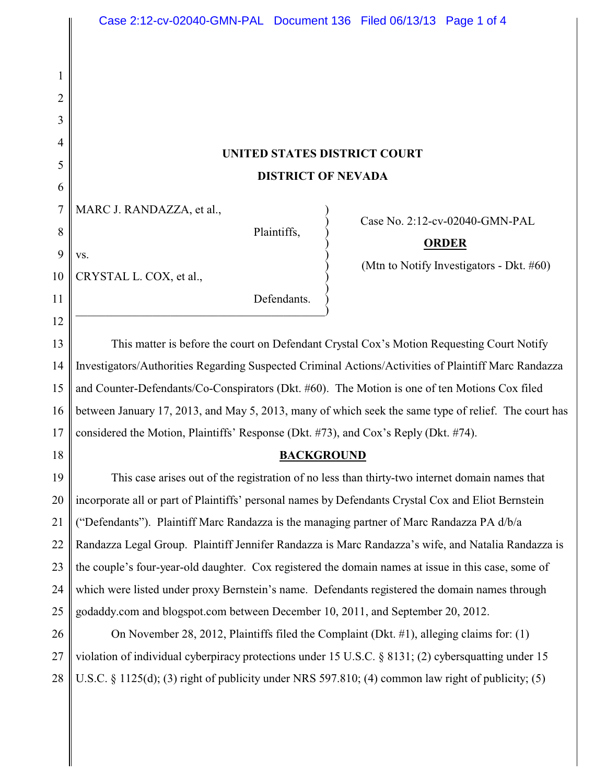# **UNITED STATES DISTRICT COURT DISTRICT OF NEVADA**

 $\big)$ 

MARC J. RANDAZZA, et al.,

 $\mathbf{v}\mathbf{s}$ .

Plaintiffs, )

) Case No. 2:12-cv-02040-GMN-PAL

## ) **ORDER**

) (Mtn to Notify Investigators - Dkt. #60)

10 CRYSTAL L. COX, et al., )

1

2

3

4

5

6

7

8

9

11

12

18

Defendants.  $\hspace{.5cm}$   $\hspace{.5cm}$   $\hspace{.5cm}$   $\hspace{.5cm}$   $\hspace{.5cm}$   $\hspace{.5cm}$   $\hspace{.5cm}$   $\hspace{.5cm}$   $\hspace{.5cm}$   $\hspace{.5cm}$   $\hspace{.5cm}$   $\hspace{.5cm}$   $\hspace{.5cm}$   $\hspace{.5cm}$   $\hspace{.5cm}$   $\hspace{.5cm}$   $\hspace{.5cm}$   $\hspace{.5cm}$   $\hspace{.5cm}$   $\hspace{.5cm}$ 

13 14 15 16 17 This matter is before the court on Defendant Crystal Cox's Motion Requesting Court Notify Investigators/Authorities Regarding Suspected Criminal Actions/Activities of Plaintiff Marc Randazza and Counter-Defendants/Co-Conspirators (Dkt. #60). The Motion is one of ten Motions Cox filed between January 17, 2013, and May 5, 2013, many of which seek the same type of relief. The court has considered the Motion, Plaintiffs' Response (Dkt. #73), and Cox's Reply (Dkt. #74).

### **BACKGROUND**

19 20 21 22 23 24 25 This case arises out of the registration of no less than thirty-two internet domain names that incorporate all or part of Plaintiffs' personal names by Defendants Crystal Cox and Eliot Bernstein ("Defendants"). Plaintiff Marc Randazza is the managing partner of Marc Randazza PA d/b/a Randazza Legal Group. Plaintiff Jennifer Randazza is Marc Randazza's wife, and Natalia Randazza is the couple's four-year-old daughter. Cox registered the domain names at issue in this case, some of which were listed under proxy Bernstein's name. Defendants registered the domain names through godaddy.com and blogspot.com between December 10, 2011, and September 20, 2012.

26 27 28 On November 28, 2012, Plaintiffs filed the Complaint (Dkt. #1), alleging claims for: (1) violation of individual cyberpiracy protections under 15 U.S.C. § 8131; (2) cybersquatting under 15 U.S.C. § 1125(d); (3) right of publicity under NRS 597.810; (4) common law right of publicity; (5)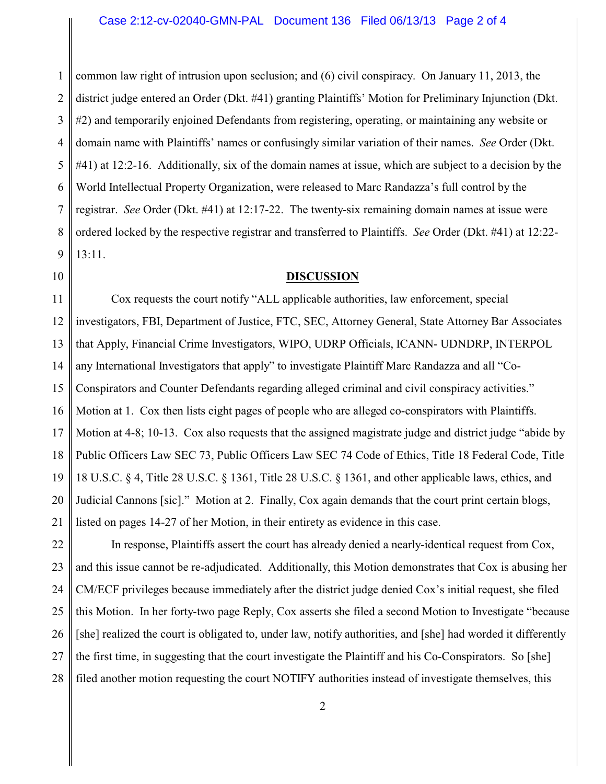1 2 3 4 5 6 7 8 9 common law right of intrusion upon seclusion; and (6) civil conspiracy. On January 11, 2013, the district judge entered an Order (Dkt. #41) granting Plaintiffs' Motion for Preliminary Injunction (Dkt. #2) and temporarily enjoined Defendants from registering, operating, or maintaining any website or domain name with Plaintiffs' names or confusingly similar variation of their names. *See* Order (Dkt. #41) at 12:2-16. Additionally, six of the domain names at issue, which are subject to a decision by the World Intellectual Property Organization, were released to Marc Randazza's full control by the registrar. *See* Order (Dkt. #41) at 12:17-22. The twenty-six remaining domain names at issue were ordered locked by the respective registrar and transferred to Plaintiffs. *See* Order (Dkt. #41) at 12:22- 13:11.

#### 10

#### **DISCUSSION**

11 12 13 14 15 16 17 18 19 20 21 Cox requests the court notify "ALL applicable authorities, law enforcement, special investigators, FBI, Department of Justice, FTC, SEC, Attorney General, State Attorney Bar Associates that Apply, Financial Crime Investigators, WIPO, UDRP Officials, ICANN- UDNDRP, INTERPOL any International Investigators that apply" to investigate Plaintiff Marc Randazza and all "Co-Conspirators and Counter Defendants regarding alleged criminal and civil conspiracy activities." Motion at 1. Cox then lists eight pages of people who are alleged co-conspirators with Plaintiffs. Motion at 4-8; 10-13. Cox also requests that the assigned magistrate judge and district judge "abide by Public Officers Law SEC 73, Public Officers Law SEC 74 Code of Ethics, Title 18 Federal Code, Title 18 U.S.C. § 4, Title 28 U.S.C. § 1361, Title 28 U.S.C. § 1361, and other applicable laws, ethics, and Judicial Cannons [sic]." Motion at 2. Finally, Cox again demands that the court print certain blogs, listed on pages 14-27 of her Motion, in their entirety as evidence in this case.

22 23 24 25 26 27 28 In response, Plaintiffs assert the court has already denied a nearly-identical request from Cox, and this issue cannot be re-adjudicated. Additionally, this Motion demonstrates that Cox is abusing her CM/ECF privileges because immediately after the district judge denied Cox's initial request, she filed this Motion. In her forty-two page Reply, Cox asserts she filed a second Motion to Investigate "because [she] realized the court is obligated to, under law, notify authorities, and [she] had worded it differently the first time, in suggesting that the court investigate the Plaintiff and his Co-Conspirators. So [she] filed another motion requesting the court NOTIFY authorities instead of investigate themselves, this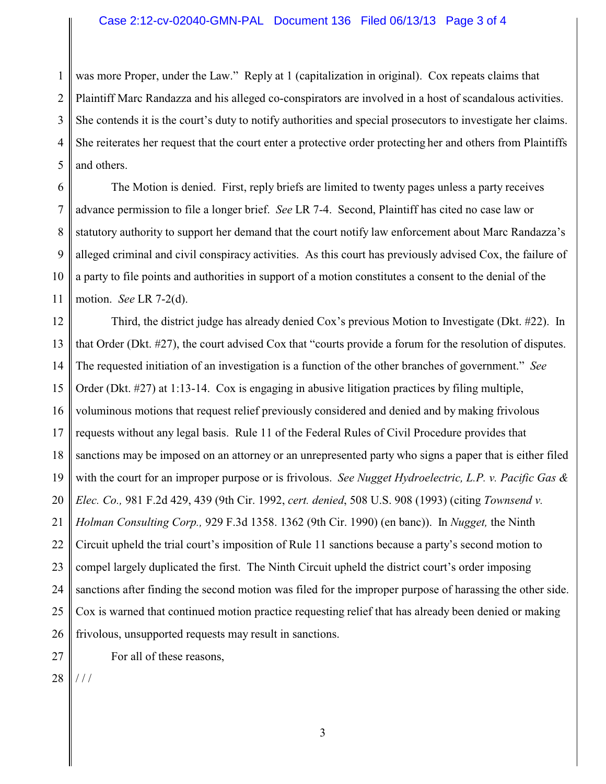#### Case 2:12-cv-02040-GMN-PAL Document 136 Filed 06/13/13 Page 3 of 4

1 2 3 4 5 was more Proper, under the Law." Reply at 1 (capitalization in original). Cox repeats claims that Plaintiff Marc Randazza and his alleged co-conspirators are involved in a host of scandalous activities. She contends it is the court's duty to notify authorities and special prosecutors to investigate her claims. She reiterates her request that the court enter a protective order protecting her and others from Plaintiffs and others.

6 7 8 9 10 11 The Motion is denied. First, reply briefs are limited to twenty pages unless a party receives advance permission to file a longer brief. *See* LR 7-4. Second, Plaintiff has cited no case law or statutory authority to support her demand that the court notify law enforcement about Marc Randazza's alleged criminal and civil conspiracy activities. As this court has previously advised Cox, the failure of a party to file points and authorities in support of a motion constitutes a consent to the denial of the motion. *See* LR 7-2(d).

12 13 14 15 16 17 18 19 20 21 22 23 24 25 26 Third, the district judge has already denied Cox's previous Motion to Investigate (Dkt. #22). In that Order (Dkt. #27), the court advised Cox that "courts provide a forum for the resolution of disputes. The requested initiation of an investigation is a function of the other branches of government." *See* Order (Dkt. #27) at 1:13-14. Cox is engaging in abusive litigation practices by filing multiple, voluminous motions that request relief previously considered and denied and by making frivolous requests without any legal basis. Rule 11 of the Federal Rules of Civil Procedure provides that sanctions may be imposed on an attorney or an unrepresented party who signs a paper that is either filed with the court for an improper purpose or is frivolous. *See Nugget Hydroelectric, L.P. v. Pacific Gas & Elec. Co.,* 981 F.2d 429, 439 (9th Cir. 1992, *cert. denied*, 508 U.S. 908 (1993) (citing *Townsend v. Holman Consulting Corp.,* 929 F.3d 1358. 1362 (9th Cir. 1990) (en banc)). In *Nugget,* the Ninth Circuit upheld the trial court's imposition of Rule 11 sanctions because a party's second motion to compel largely duplicated the first. The Ninth Circuit upheld the district court's order imposing sanctions after finding the second motion was filed for the improper purpose of harassing the other side. Cox is warned that continued motion practice requesting relief that has already been denied or making frivolous, unsupported requests may result in sanctions.

For all of these reasons,

28 / / /

27